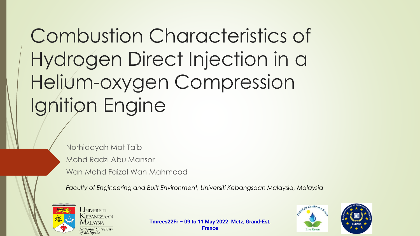# Combustion Characteristics of Hydrogen Direct Injection in a Helium-oxygen Compression Ignition Engine

Norhidayah Mat Taib Mohd Radzi Abu Mansor Wan Mohd Faizal Wan Mahmood

*Faculty of Engineering and Built Environment, Universiti Kebangsaan Malaysia, Malaysia*



**Tmrees22Fr – 09 to 11 May 2022. Metz, Grand-Est, France**



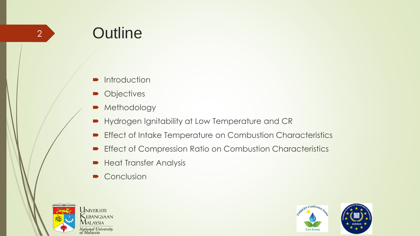## **Outline**

- **Introduction**
- Objectives
- Methodology
- Hydrogen Ignitability at Low Temperature and CR
- **Effect of Intake Temperature on Combustion Characteristics**
- **Effect of Compression Ratio on Combustion Characteristics**
- **Heat Transfer Analysis**
- Conclusion



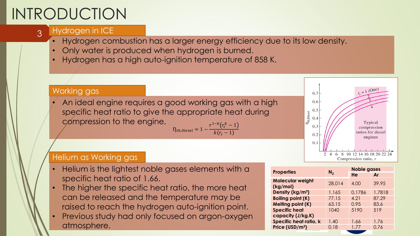# INTRODUCTION

3

#### Hydrogen in ICE

- Hydrogen combustion has a larger energy efficiency due to its low density.
- Only water is produced when hydrogen is burned.
- Hydrogen has a high auto-ignition temperature of 858 K.

#### $r_c = 1 \text{ (Otto)}$ Working gas 0.7 • An ideal engine requires a good working gas with a high  $0.6$ specific heat ratio to give the appropriate heat during 0.5  $\eta_{\text{ th,Disc}}$  $0.4$ compression to the engine, Typical  $r^{1-k}\big(r_c^{k}-1$  $0.3$ compression  $\eta_{\mathit{th,Diesel}} = 1$   $$ ratios for diesel  $k(r_c - 1)$  $0.2$ engines  $0.1$

#### Helium as Working gas

- Helium is the lightest noble gases elements with a specific heat ratio of 1.66.
- The higher the specific heat ratio, the more heat can be released and the temperature may be raised to reach the hydrogen auto-ignition point.
- Previous study had only focused on argon-oxygen atmosphere.

| <b>Properties</b>                   | N <sub>2</sub> | <b>Noble gases</b> |        |
|-------------------------------------|----------------|--------------------|--------|
|                                     |                | He                 | Ar     |
| <b>Molecular weight</b><br>(kg/mol) | 28.014         | 4.00               | 39.95  |
| Density ( $kg/m3$ )                 | 1.165          | 0.1786             | 1.7818 |
| <b>Boiling point (K)</b>            | 77.15          | 4.21               | 87.29  |
| <b>Melting point (K)</b>            | 63.15          | 0.95               | 83.6   |
| <b>Specific heat</b>                | 1040           | 5190               | 519    |
| capacity (J/kg.K)                   |                |                    |        |
| Specific heat ratio, k              | 1.40           | 1.66               | 1.76   |
| Price (USD/m <sup>3</sup> )         | 0.18           | 1.77               | 0.76   |

2 4 6 8 10 12 14 16 18 20 22 24 Compression ratio, r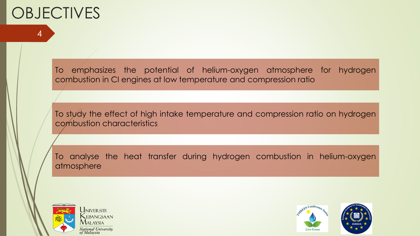## **OBJECTIVES**

4

To emphasizes the potential of helium-oxygen atmosphere for hydrogen combustion in CI engines at low temperature and compression ratio

To study the effect of high intake temperature and compression ratio on hydrogen combustion characteristics

To analyse the heat transfer during hydrogen combustion in helium-oxygen atmosphere



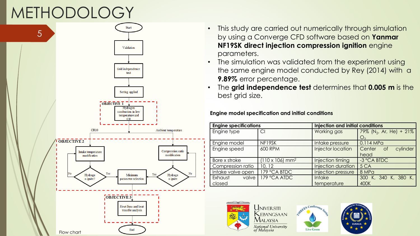# METHODOLOGY



- This study are carried out numerically through simulation by using a Converge CFD software based on **Yanmar NF19SK direct injection compression ignition** engine parameters.
- The simulation was validated from the experiment using the same engine model conducted by Rey (2014) with a **9.89%** error percentage.
- The **grid independence test** determines that **0.005 m** is the best grid size.

**Engine model specification and initial conditions**

|                   | <b>Injection and initial conditions</b><br><b>Engine specifications</b> |                         |                                     |  |
|-------------------|-------------------------------------------------------------------------|-------------------------|-------------------------------------|--|
| Engine type       | CI                                                                      | Working gas             | 79% (N <sub>2</sub> , Ar, He) + 21% |  |
|                   |                                                                         |                         | $\bigcup_\cap$                      |  |
| Engine model      | NF19SK                                                                  | Intake pressure         | 0.114 MPa                           |  |
| Engine speed      | <b>600 RPM</b>                                                          | Injector location       | cylinder<br>Center<br>of            |  |
|                   |                                                                         |                         | head                                |  |
| Bore x stroke     | $(110 \times 106)$ mm <sup>2</sup>                                      | <b>Injection timing</b> | -3 °CA BTDC                         |  |
| Compression ratio | 10, 12                                                                  | Injection duration      | 5 CA                                |  |
| Intake valve open | 179 °CA BIDC                                                            | Injection pressure      | 8 MPa                               |  |
| Exhaust<br>valve  | 179 °CA ATDC                                                            | <b>Intake</b>           | 300 K, 340 K, 380 K,                |  |
| closed            |                                                                         | temperature             | 400K                                |  |





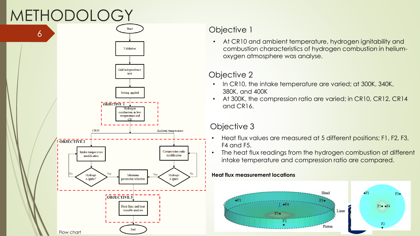## METHODOLOGY



### Objective 1

• At CR10 and ambient temperature, hydrogen ignitability and combustion characteristics of hydrogen combustion in heliumoxygen atmosphere was analyse.

### Objective 2

- In CR10, the intake temperature are varied; at 300K, 340K, 380K, and 400K
- At 300K, the compression ratio are varied; in CR10, CR12, CR14 and CR16.

### Objective 3

- Heat flux values are measured at 5 different positions; F1, F2, F3, F4 and F5.
- The heat flux readings from the hydrogen combustion at different intake temperature and compression ratio are compared.

#### **Heat flux measurement locations**

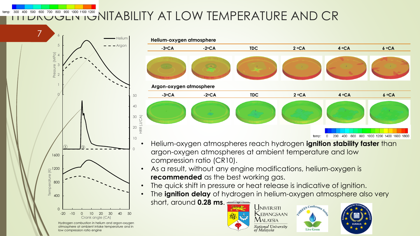### **HOLDROGEN IN INDIABILITY AT LOW TEMPERATURE AND CR**



temp:

low compression ratio engine



- Helium-oxygen atmospheres reach hydrogen **ignition stability faster** than argon-oxygen atmospheres at ambient temperature and low compression ratio (CR10).
- As a result, without any engine modifications, helium-oxygen is **recommended** as the best working gas.
- The quick shift in pressure or heat release is indicative of ignition.
- The **ignition delay** of hydrogen in helium-oxygen atmosphere also very short, around **0.28 ms**. **UNIVERSITI**

 $\mathsf{MALAYSIA}$ 





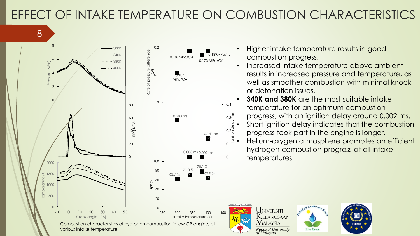### EFFECT OF INTAKE TEMPERATURE ON COMBUSTION CHARACTERISTICS





- Higher intake temperature results in good combustion progress.
- Increased intake temperature above ambient results in increased pressure and temperature, as well as smoother combustion with minimal knock or detonation issues.
- **340K and 380K** are the most suitable intake temperature for an optimum combustion progress, with an ignition delay around 0.002 ms.
- Short ignition delay indicates that the combustion progress took part in the engine is longer.
- Helium-oxygen atmosphere promotes an efficient hydrogen combustion progress at all intake temperatures.

**Live Green**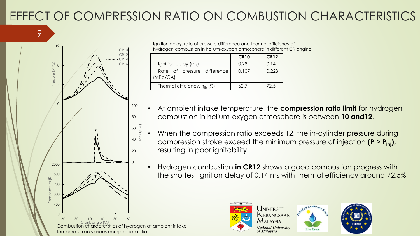### EFFECT OF COMPRESSION RATIO ON COMBUSTION CHARACTERISTICS



9

Ignition delay, rate of pressure difference and thermal efficiency of hydrogen combustion in helium-oxygen atmosphere in different CR engine

|                                         | <b>CR10</b> | <b>CR12</b> |
|-----------------------------------------|-------------|-------------|
| Ignition delay (ms)                     | 0.28        | 0.14        |
| Rate of pressure difference<br>(MPa/CA) | 0.107       | 0.223       |
| Thermal efficiency, $n_{th}$ (%)        | 62 Z        | 72.5        |

- At ambient intake temperature, the **compression ratio limit** for hydrogen combustion in helium-oxygen atmosphere is between **10 and12**.
- When the compression ratio exceeds 12, the in-cylinder pressure during compression stroke exceed the minimum pressure of injection **(P > Pinj),**  resulting in poor ignitability.
- Hydrogen combustion **in CR12** shows a good combustion progress with the shortest ignition delay of 0.14 ms with thermal efficiency around 72.5%.

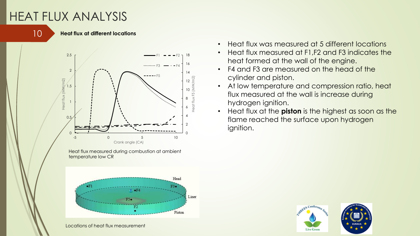### HEAT FLUX ANALYSIS



#### **Heat flux at different locations**



Heat flux measured during combustion at ambient temperature low CR



Locations of heat flux measurement

- Heat flux was measured at 5 different locations
- Heat flux measured at F1,F2 and F3 indicates the heat formed at the wall of the engine.
- F4 and F3 are measured on the head of the cylinder and piston.
- At low temperature and compression ratio, heat flux measured at the wall is increase during hydrogen ignition.
- Heat flux at the **piston** is the highest as soon as the flame reached the surface upon hydrogen ignition.

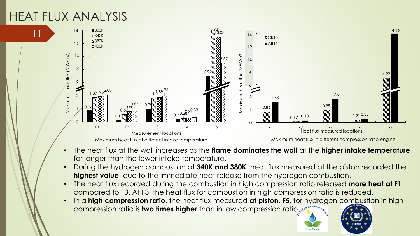### HEAT FLUX ANALYSIS

11



- The heat flux at the wall increases as the **flame dominates the wall** at the **higher intake temperature**  for longer than the lower intake temperature.
- During the hydrogen combustion at **340K and 380K**, heat flux measured at the piston recorded the **highest value** due to the immediate heat release from the hydrogen combustion.
- The heat flux recorded during the combustion in high compression ratio released **more heat at F1** compared to F3. At F3, the heat flux for combustion in high compression ratio is reduced.
- In a **high compression ratio**, the heat flux measured **at piston, F5**, for hydrogen combustion in high **compression ratio is two times higher** than in low compression ratio. Sepa<sup>6 Confe</sup>

**Live Gree**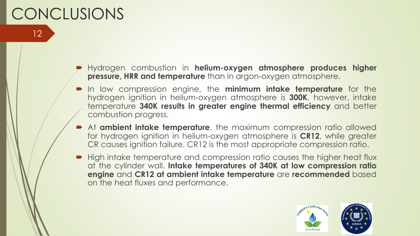## **CONCLUSIONS**

12

- Hydrogen combustion in **helium-oxygen atmosphere produces higher pressure, HRR and temperature** than in argon-oxygen atmosphere.
- In low compression engine, the **minimum intake temperature** for the hydrogen ignition in helium-oxygen atmosphere is **300K**, however, intake temperature **340K results in greater engine thermal efficiency** and better combustion progress.
- At **ambient intake temperature**, the maximum compression ratio allowed for hydrogen ignition in helium-oxygen atmosphere is **CR12**, while greater CR causes ignition failure. CR12 is the most appropriate compression ratio.
- High intake temperature and compression ratio causes the higher heat flux at the cylinder wall. **Intake temperatures of 340K at low compression ratio engine** and **CR12 at ambient intake temperature** are **recommended** based on the heat fluxes and performance.